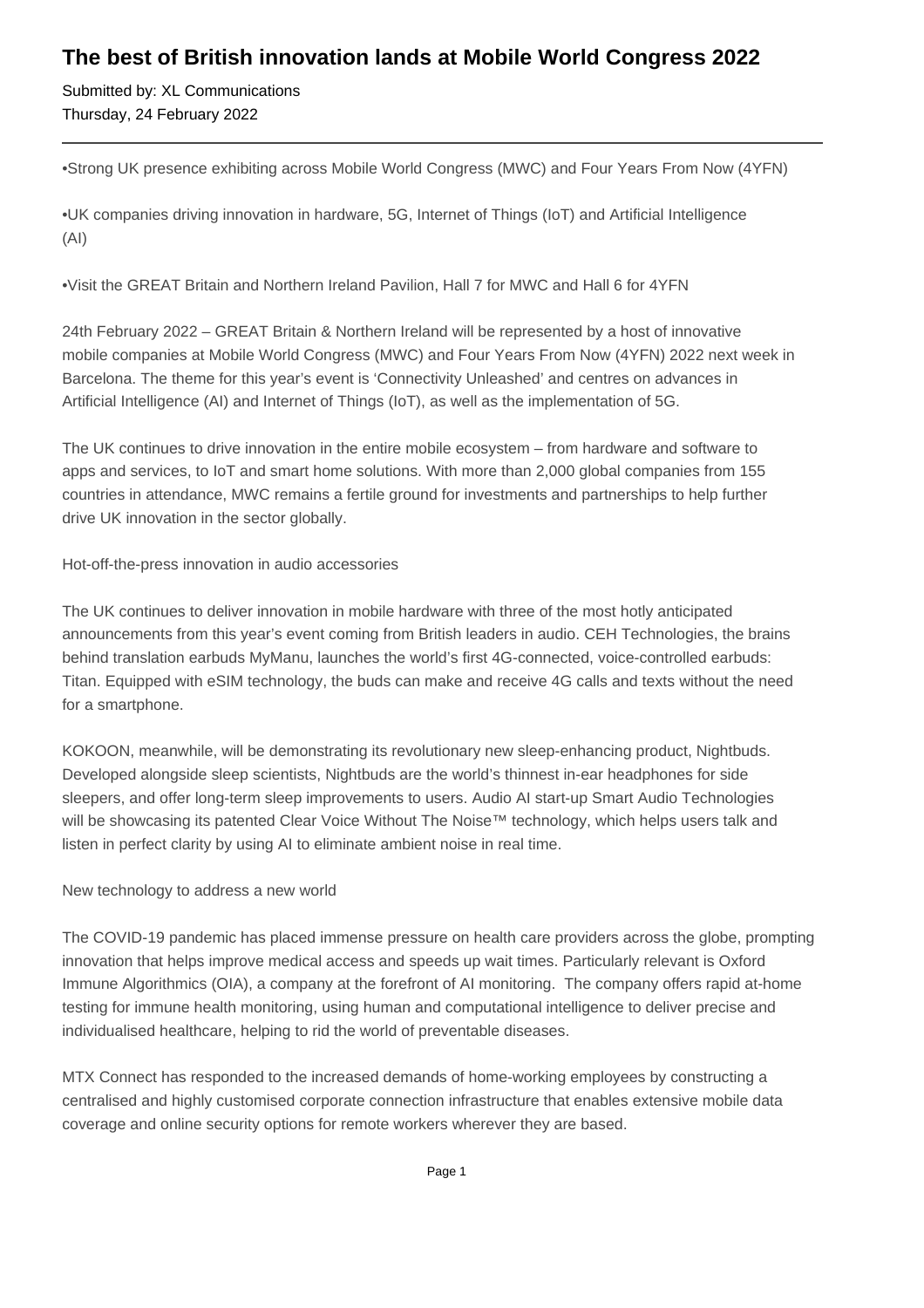## **The best of British innovation lands at Mobile World Congress 2022**

Submitted by: XL Communications Thursday, 24 February 2022

• Strong UK presence exhibiting across Mobile World Congress (MWC) and Four Years From Now (4YFN)

• UK companies driving innovation in hardware, 5G, Internet of Things (IoT) and Artificial Intelligence (AI)

• Visit the GREAT Britain and Northern Ireland Pavilion, Hall 7 for MWC and Hall 6 for 4YFN

24th February 2022 – GREAT Britain & Northern Ireland will be represented by a host of innovative mobile companies at Mobile World Congress (MWC) and Four Years From Now (4YFN) 2022 next week in Barcelona. The theme for this year's event is 'Connectivity Unleashed' and centres on advances in Artificial Intelligence (AI) and Internet of Things (IoT), as well as the implementation of 5G.

The UK continues to drive innovation in the entire mobile ecosystem – from hardware and software to apps and services, to IoT and smart home solutions. With more than 2,000 global companies from 155 countries in attendance, MWC remains a fertile ground for investments and partnerships to help further drive UK innovation in the sector globally.

Hot-off-the-press innovation in audio accessories

The UK continues to deliver innovation in mobile hardware with three of the most hotly anticipated announcements from this year's event coming from British leaders in audio. CEH Technologies, the brains behind translation earbuds MyManu, launches the world's first 4G-connected, voice-controlled earbuds: Titan. Equipped with eSIM technology, the buds can make and receive 4G calls and texts without the need for a smartphone.

KOKOON, meanwhile, will be demonstrating its revolutionary new sleep-enhancing product, Nightbuds. Developed alongside sleep scientists, Nightbuds are the world's thinnest in-ear headphones for side sleepers, and offer long-term sleep improvements to users. Audio AI start-up Smart Audio Technologies will be showcasing its patented Clear Voice Without The Noise™ technology, which helps users talk and listen in perfect clarity by using AI to eliminate ambient noise in real time.

New technology to address a new world

The COVID-19 pandemic has placed immense pressure on health care providers across the globe, prompting innovation that helps improve medical access and speeds up wait times. Particularly relevant is Oxford Immune Algorithmics (OIA), a company at the forefront of AI monitoring. The company offers rapid at-home testing for immune health monitoring, using human and computational intelligence to deliver precise and individualised healthcare, helping to rid the world of preventable diseases.

MTX Connect has responded to the increased demands of home-working employees by constructing a centralised and highly customised corporate connection infrastructure that enables extensive mobile data coverage and online security options for remote workers wherever they are based.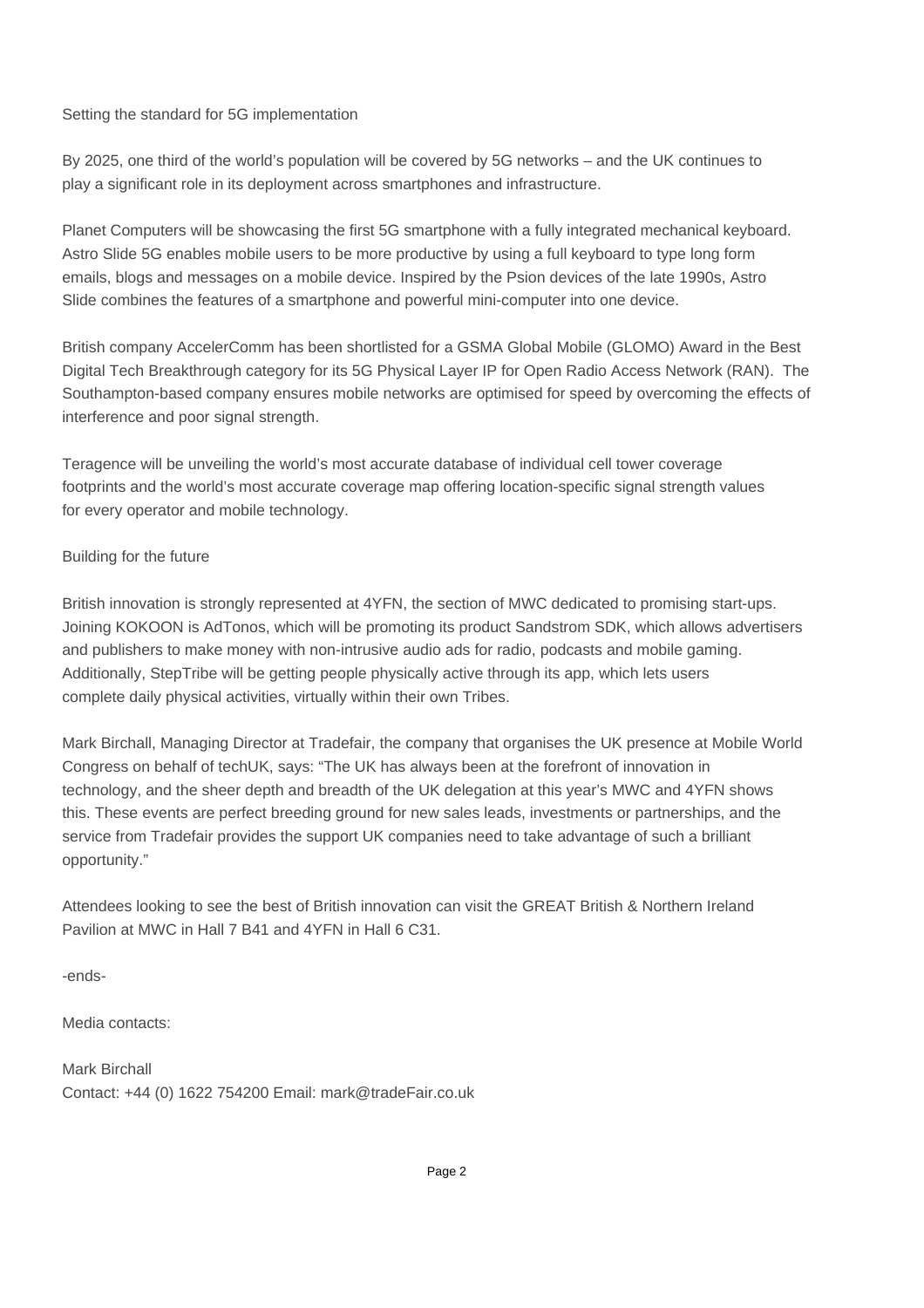## Setting the standard for 5G implementation

By 2025, one third of the world's population will be covered by 5G networks – and the UK continues to play a significant role in its deployment across smartphones and infrastructure.

Planet Computers will be showcasing the first 5G smartphone with a fully integrated mechanical keyboard. Astro Slide 5G enables mobile users to be more productive by using a full keyboard to type long form emails, blogs and messages on a mobile device. Inspired by the Psion devices of the late 1990s, Astro Slide combines the features of a smartphone and powerful mini-computer into one device.

British company AccelerComm has been shortlisted for a GSMA Global Mobile (GLOMO) Award in the Best Digital Tech Breakthrough category for its 5G Physical Layer IP for Open Radio Access Network (RAN). The Southampton-based company ensures mobile networks are optimised for speed by overcoming the effects of interference and poor signal strength.

Teragence will be unveiling the world's most accurate database of individual cell tower coverage footprints and the world's most accurate coverage map offering location-specific signal strength values for every operator and mobile technology.

## Building for the future

British innovation is strongly represented at 4YFN, the section of MWC dedicated to promising start-ups. Joining KOKOON is AdTonos, which will be promoting its product Sandstrom SDK, which allows advertisers and publishers to make money with non-intrusive audio ads for radio, podcasts and mobile gaming. Additionally, StepTribe will be getting people physically active through its app, which lets users complete daily physical activities, virtually within their own Tribes.

Mark Birchall, Managing Director at Tradefair, the company that organises the UK presence at Mobile World Congress on behalf of techUK, says: "The UK has always been at the forefront of innovation in technology, and the sheer depth and breadth of the UK delegation at this year's MWC and 4YFN shows this. These events are perfect breeding ground for new sales leads, investments or partnerships, and the service from Tradefair provides the support UK companies need to take advantage of such a brilliant opportunity."

Attendees looking to see the best of British innovation can visit the GREAT British & Northern Ireland Pavilion at MWC in Hall 7 B41 and 4YFN in Hall 6 C31.

-ends-

Media contacts:

Mark Birchall Contact: +44 (0) 1622 754200 Email: mark@tradeFair.co.uk